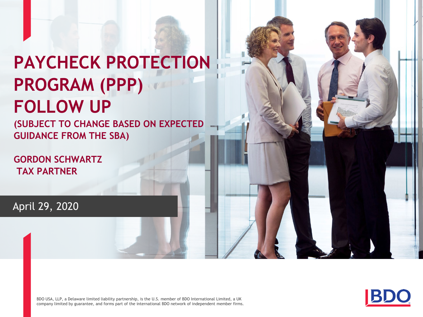# **PAYCHECK PROTECTION PROGRAM (PPP) FOLLOW UP**

**(SUBJECT TO CHANGE BASED ON EXPECTED GUIDANCE FROM THE SBA)**

**GORDON SCHWARTZ TAX PARTNER**

April 29, 2020

BDO USA, LLP, a Delaware limited liability partnership, is the U.S. member of BDO International Limited, a UK company limited by guarantee, and forms part of the international BDO network of independent member firms.



WWW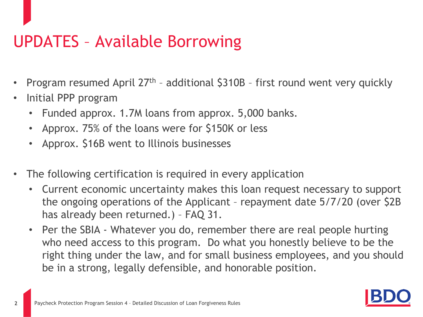#### UPDATES – Available Borrowing

- Program resumed April  $27<sup>th</sup>$  additional  $$310B$  first round went very quickly
- Initial PPP program
	- Funded approx. 1.7M loans from approx. 5,000 banks.
	- Approx. 75% of the loans were for \$150K or less
	- Approx. \$16B went to Illinois businesses
- The following certification is required in every application
	- Current economic uncertainty makes this loan request necessary to support the ongoing operations of the Applicant – repayment date 5/7/20 (over \$2B has already been returned.) – FAQ 31.
	- Per the SBIA Whatever you do, remember there are real people hurting who need access to this program. Do what you honestly believe to be the right thing under the law, and for small business employees, and you should be in a strong, legally defensible, and honorable position.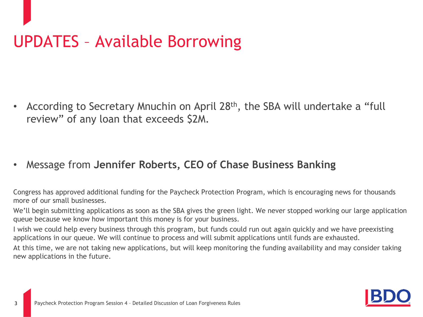# UPDATES – Available Borrowing

• According to Secretary Mnuchin on April 28th, the SBA will undertake a "full review" of any loan that exceeds \$2M.

• Message from **Jennifer Roberts, CEO of Chase Business Banking**

Congress has approved additional funding for the Paycheck Protection Program, which is encouraging news for thousands more of our small businesses.

We'll begin submitting applications as soon as the SBA gives the green light. We never stopped working our large application queue because we know how important this money is for your business.

I wish we could help every business through this program, but funds could run out again quickly and we have preexisting applications in our queue. We will continue to process and will submit applications until funds are exhausted.

At this time, we are not taking new applications, but will keep monitoring the funding availability and may consider taking new applications in the future.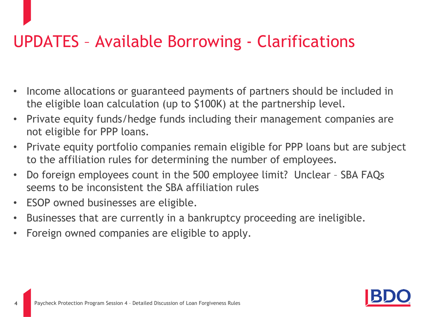## UPDATES – Available Borrowing - Clarifications

- Income allocations or guaranteed payments of partners should be included in the eligible loan calculation (up to \$100K) at the partnership level.
- Private equity funds/hedge funds including their management companies are not eligible for PPP loans.
- Private equity portfolio companies remain eligible for PPP loans but are subject to the affiliation rules for determining the number of employees.
- Do foreign employees count in the 500 employee limit? Unclear SBA FAQs seems to be inconsistent the SBA affiliation rules
- ESOP owned businesses are eligible.
- Businesses that are currently in a bankruptcy proceeding are ineligible.
- Foreign owned companies are eligible to apply.

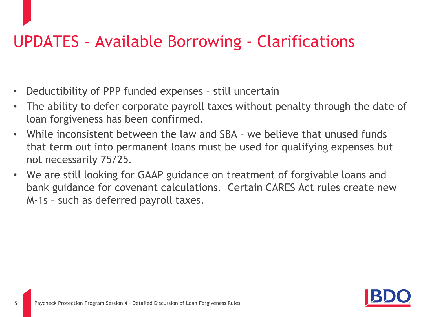### UPDATES – Available Borrowing - Clarifications

- Deductibility of PPP funded expenses still uncertain
- The ability to defer corporate payroll taxes without penalty through the date of loan forgiveness has been confirmed.
- While inconsistent between the law and SBA we believe that unused funds that term out into permanent loans must be used for qualifying expenses but not necessarily 75/25.
- We are still looking for GAAP guidance on treatment of forgivable loans and bank guidance for covenant calculations. Certain CARES Act rules create new M-1s – such as deferred payroll taxes.

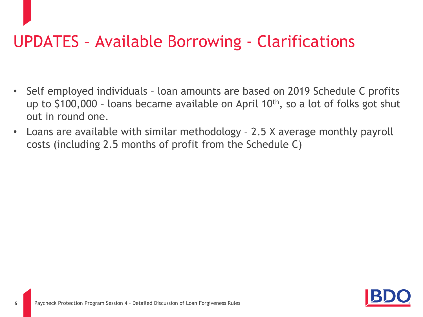### UPDATES – Available Borrowing - Clarifications

- Self employed individuals loan amounts are based on 2019 Schedule C profits up to \$100,000 – loans became available on April 10th, so a lot of folks got shut out in round one.
- Loans are available with similar methodology 2.5 X average monthly payroll costs (including 2.5 months of profit from the Schedule C)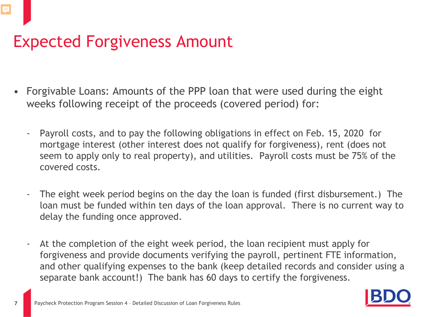#### Expected Forgiveness Amount

- Forgivable Loans: Amounts of the PPP loan that were used during the eight weeks following receipt of the proceeds (covered period) for:
	- Payroll costs, and to pay the following obligations in effect on Feb. 15, 2020 for mortgage interest (other interest does not qualify for forgiveness), rent (does not seem to apply only to real property), and utilities. Payroll costs must be 75% of the covered costs.
	- The eight week period begins on the day the loan is funded (first disbursement.) The loan must be funded within ten days of the loan approval. There is no current way to delay the funding once approved.
	- At the completion of the eight week period, the loan recipient must apply for forgiveness and provide documents verifying the payroll, pertinent FTE information, and other qualifying expenses to the bank (keep detailed records and consider using a separate bank account!) The bank has 60 days to certify the forgiveness.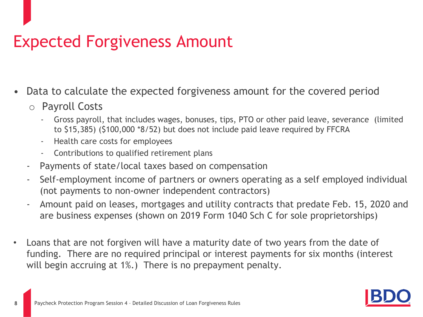#### Expected Forgiveness Amount

- Data to calculate the expected forgiveness amount for the covered period
	- o Payroll Costs
		- Gross payroll, that includes wages, bonuses, tips, PTO or other paid leave, severance (limited to \$15,385) (\$100,000 \*8/52) but does not include paid leave required by FFCRA
		- Health care costs for employees
		- Contributions to qualified retirement plans
	- Payments of state/local taxes based on compensation
	- Self-employment income of partners or owners operating as a self employed individual (not payments to non-owner independent contractors)
	- Amount paid on leases, mortgages and utility contracts that predate Feb. 15, 2020 and are business expenses (shown on 2019 Form 1040 Sch C for sole proprietorships)
- Loans that are not forgiven will have a maturity date of two years from the date of funding. There are no required principal or interest payments for six months (interest will begin accruing at 1%.) There is no prepayment penalty.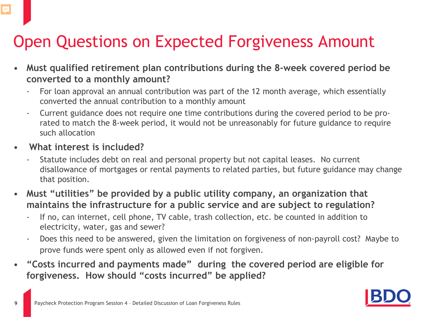## Open Questions on Expected Forgiveness Amount

- **Must qualified retirement plan contributions during the 8-week covered period be converted to a monthly amount?**
	- For loan approval an annual contribution was part of the 12 month average, which essentially converted the annual contribution to a monthly amount
	- Current guidance does not require one time contributions during the covered period to be prorated to match the 8-week period, it would not be unreasonably for future guidance to require such allocation
- **What interest is included?**

E

- Statute includes debt on real and personal property but not capital leases. No current disallowance of mortgages or rental payments to related parties, but future guidance may change that position.
- **Must "utilities" be provided by a public utility company, an organization that maintains the infrastructure for a public service and are subject to regulation?** 
	- If no, can internet, cell phone, TV cable, trash collection, etc. be counted in addition to electricity, water, gas and sewer?
	- Does this need to be answered, given the limitation on forgiveness of non-payroll cost? Maybe to prove funds were spent only as allowed even if not forgiven.
- **"Costs incurred and payments made" during the covered period are eligible for forgiveness. How should "costs incurred" be applied?**

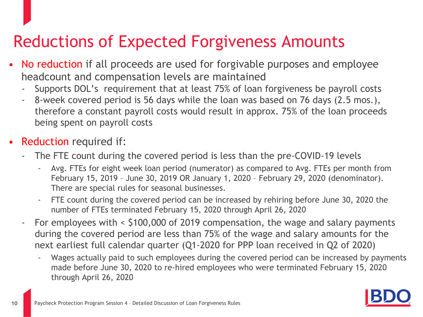### Reductions of Expected Forgiveness Amounts

- No reduction if all proceeds are used for forgivable purposes and employee headcount and compensation levels are maintained
	- Supports DOL's requirement that at least 75% of loan forgiveness be payroll costs
	- 8-week covered period is 56 days while the loan was based on 76 days (2.5 mos.), therefore a constant payroll costs would result in approx. 75% of the loan proceeds being spent on payroll costs
- **Reduction required if:** 
	- The FTE count during the covered period is less than the pre-COVID-19 levels
		- Avg. FTEs for eight week loan period (numerator) as compared to Avg. FTEs per month from February 15, 2019 – June 30, 2019 OR January 1, 2020 – February 29, 2020 (denominator). There are special rules for seasonal businesses.
		- FTE count during the covered period can be increased by rehiring before June 30, 2020 the number of FTEs terminated February 15, 2020 through April 26, 2020
	- For employees with < \$100,000 of 2019 compensation, the wage and salary payments during the covered period are less than 75% of the wage and salary amounts for the next earliest full calendar quarter (Q1-2020 for PPP loan received in Q2 of 2020)
		- Wages actually paid to such employees during the covered period can be increased by payments made before June 30, 2020 to re-hired employees who were terminated February 15, 2020 through April 26, 2020

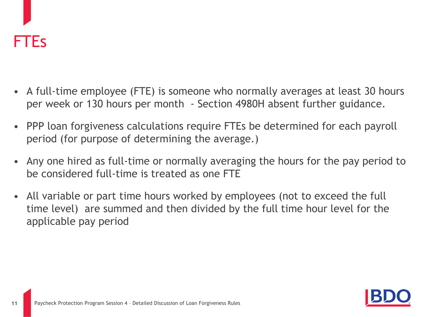

- A full-time employee (FTE) is someone who normally averages at least 30 hours per week or 130 hours per month - Section 4980H absent further guidance.
- PPP loan forgiveness calculations require FTEs be determined for each payroll period (for purpose of determining the average.)
- Any one hired as full-time or normally averaging the hours for the pay period to be considered full-time is treated as one FTE
- All variable or part time hours worked by employees (not to exceed the full time level) are summed and then divided by the full time hour level for the applicable pay period